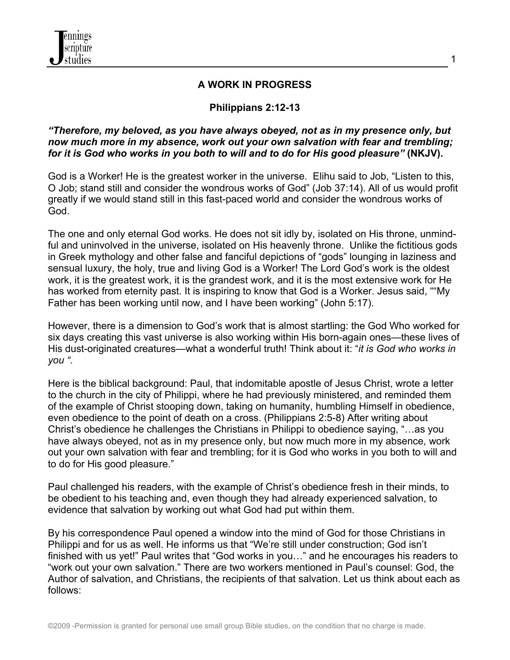

## **A WORK IN PROGRESS**

#### **Philippians 2:12-13**

#### *"Therefore, my beloved, as you have always obeyed, not as in my presence only, but now much more in my absence, work out your own salvation with fear and trembling; for it is God who works in you both to will and to do for His good pleasure"* **(NKJV).**

God is a Worker! He is the greatest worker in the universe. Elihu said to Job, "Listen to this, O Job; stand still and consider the wondrous works of God" (Job 37:14). All of us would profit greatly if we would stand still in this fast-paced world and consider the wondrous works of God.

The one and only eternal God works. He does not sit idly by, isolated on His throne, unmindful and uninvolved in the universe, isolated on His heavenly throne. Unlike the fictitious gods in Greek mythology and other false and fanciful depictions of "gods" lounging in laziness and sensual luxury, the holy, true and living God is a Worker! The Lord God's work is the oldest work, it is the greatest work, it is the grandest work, and it is the most extensive work for He has worked from eternity past. It is inspiring to know that God is a Worker. Jesus said, ""My Father has been working until now, and I have been working" (John 5:17).

However, there is a dimension to God's work that is almost startling: the God Who worked for six days creating this vast universe is also working within His born-again ones—these lives of His dust-originated creatures*—*what a wonderful truth! Think about it: "*it is God who works in you ".*

Here is the biblical background: Paul, that indomitable apostle of Jesus Christ, wrote a letter to the church in the city of Philippi, where he had previously ministered, and reminded them of the example of Christ stooping down, taking on humanity, humbling Himself in obedience, even obedience to the point of death on a cross. (Philippians 2:5-8) After writing about Christ's obedience he challenges the Christians in Philippi to obedience saying, "…as you have always obeyed, not as in my presence only, but now much more in my absence, work out your own salvation with fear and trembling; for it is God who works in you both to will and to do for His good pleasure."

Paul challenged his readers, with the example of Christ's obedience fresh in their minds, to be obedient to his teaching and, even though they had already experienced salvation, to evidence that salvation by working out what God had put within them.

By his correspondence Paul opened a window into the mind of God for those Christians in Philippi and for us as well. He informs us that "We're still under construction; God isn't finished with us yet!" Paul writes that "God works in you…" and he encourages his readers to "work out your own salvation." There are two workers mentioned in Paul's counsel: God, the Author of salvation, and Christians, the recipients of that salvation. Let us think about each as follows: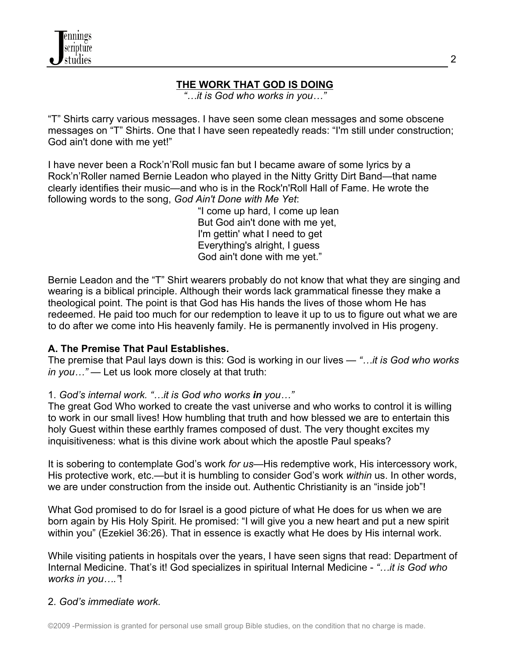

# **THE WORK THAT GOD IS DOING**

*"…it is God who works in you…"*

"T" Shirts carry various messages. I have seen some clean messages and some obscene messages on "T" Shirts. One that I have seen repeatedly reads: "I'm still under construction; God ain't done with me yet!"

I have never been a Rock'n'Roll music fan but I became aware of some lyrics by a Rock'n'Roller named Bernie Leadon who played in the Nitty Gritty Dirt Band—that name clearly identifies their music—and who is in the Rock'n'Roll Hall of Fame. He wrote the following words to the song, *God Ain't Done with Me Yet*:

> "I come up hard, I come up lean But God ain't done with me yet, I'm gettin' what I need to get Everything's alright, I guess God ain't done with me yet."

Bernie Leadon and the "T" Shirt wearers probably do not know that what they are singing and wearing is a biblical principle. Although their words lack grammatical finesse they make a theological point. The point is that God has His hands the lives of those whom He has redeemed. He paid too much for our redemption to leave it up to us to figure out what we are to do after we come into His heavenly family. He is permanently involved in His progeny.

#### **A. The Premise That Paul Establishes.**

The premise that Paul lays down is this: God is working in our lives — *"…it is God who works in you…"* — Let us look more closely at that truth:

#### 1. *God's internal work. "…it is God who works in you…"*

The great God Who worked to create the vast universe and who works to control it is willing to work in our small lives! How humbling that truth and how blessed we are to entertain this holy Guest within these earthly frames composed of dust. The very thought excites my inquisitiveness: what is this divine work about which the apostle Paul speaks?

It is sobering to contemplate God's work *for us*—His redemptive work, His intercessory work, His protective work, etc.—but it is humbling to consider God's work *within* us. In other words, we are under construction from the inside out. Authentic Christianity is an "inside job"!

What God promised to do for Israel is a good picture of what He does for us when we are born again by His Holy Spirit. He promised: "I will give you a new heart and put a new spirit within you" (Ezekiel 36:26). That in essence is exactly what He does by His internal work.

While visiting patients in hospitals over the years, I have seen signs that read: Department of Internal Medicine. That's it! God specializes in spiritual Internal Medicine - *"…it is God who works in you…."*!

## 2. *God's immediate work.*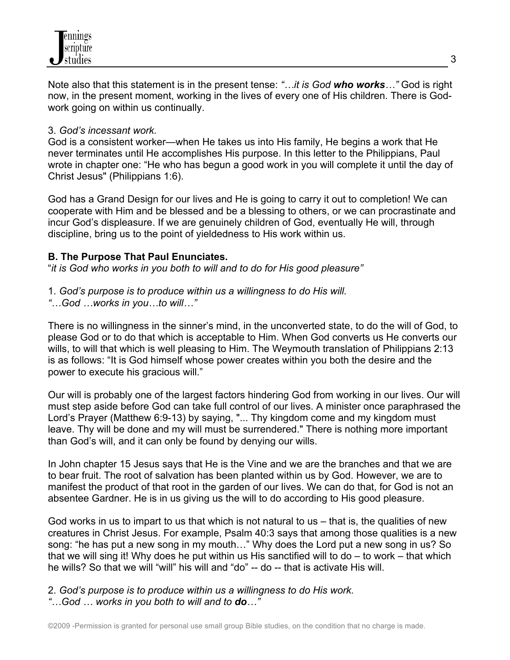Note also that this statement is in the present tense: *"…it is God who works…"* God is right now, in the present moment, working in the lives of every one of His children. There is Godwork going on within us continually.

## 3. *God's incessant work.*

God is a consistent worker—when He takes us into His family, He begins a work that He never terminates until He accomplishes His purpose. In this letter to the Philippians, Paul wrote in chapter one: "He who has begun a good work in you will complete it until the day of Christ Jesus" (Philippians 1:6).

God has a Grand Design for our lives and He is going to carry it out to completion! We can cooperate with Him and be blessed and be a blessing to others, or we can procrastinate and incur God's displeasure. If we are genuinely children of God, eventually He will, through discipline, bring us to the point of yieldedness to His work within us.

# **B. The Purpose That Paul Enunciates.**

"*it is God who works in you both to will and to do for His good pleasure"*

- 1. *God's purpose is to produce within us a willingness to do His will.*
- *"…God …works in you…to will…"*

There is no willingness in the sinner's mind, in the unconverted state, to do the will of God, to please God or to do that which is acceptable to Him. When God converts us He converts our wills, to will that which is well pleasing to Him. The Weymouth translation of Philippians 2:13 is as follows: "It is God himself whose power creates within you both the desire and the power to execute his gracious will."

Our will is probably one of the largest factors hindering God from working in our lives. Our will must step aside before God can take full control of our lives. A minister once paraphrased the Lord's Prayer (Matthew 6:9-13) by saying, "... Thy kingdom come and my kingdom must leave. Thy will be done and my will must be surrendered." There is nothing more important than God's will, and it can only be found by denying our wills.

In John chapter 15 Jesus says that He is the Vine and we are the branches and that we are to bear fruit. The root of salvation has been planted within us by God. However, we are to manifest the product of that root in the garden of our lives. We can do that, for God is not an absentee Gardner. He is in us giving us the will to do according to His good pleasure.

God works in us to impart to us that which is not natural to us – that is, the qualities of new creatures in Christ Jesus. For example, Psalm 40:3 says that among those qualities is a new song: "he has put a new song in my mouth…" Why does the Lord put a new song in us? So that we will sing it! Why does he put within us His sanctified will to do – to work – that which he wills? So that we will "will" his will and "do" -- do -- that is activate His will.

2. *God's purpose is to produce within us a willingness to do His work. "…God … works in you both to will and to do…"*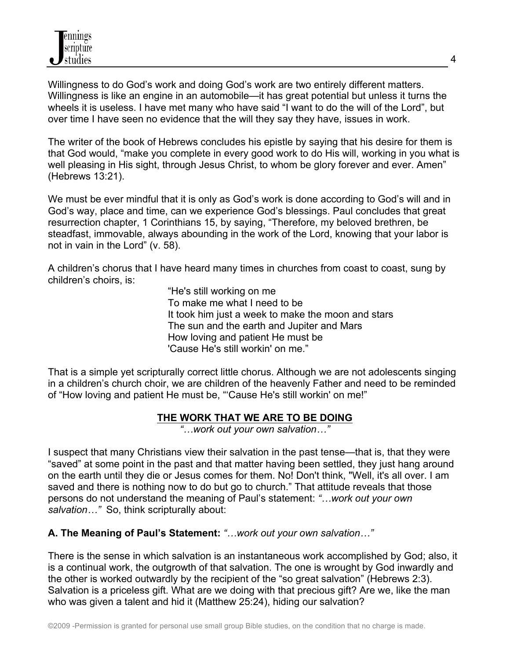Willingness to do God's work and doing God's work are two entirely different matters. Willingness is like an engine in an automobile—it has great potential but unless it turns the wheels it is useless. I have met many who have said "I want to do the will of the Lord", but over time I have seen no evidence that the will they say they have, issues in work.

The writer of the book of Hebrews concludes his epistle by saying that his desire for them is that God would, "make you complete in every good work to do His will, working in you what is well pleasing in His sight, through Jesus Christ, to whom be glory forever and ever. Amen" (Hebrews 13:21).

We must be ever mindful that it is only as God's work is done according to God's will and in God's way, place and time, can we experience God's blessings. Paul concludes that great resurrection chapter, 1 Corinthians 15, by saying, "Therefore, my beloved brethren, be steadfast, immovable, always abounding in the work of the Lord, knowing that your labor is not in vain in the Lord" (v. 58).

A children's chorus that I have heard many times in churches from coast to coast, sung by children's choirs, is:

"He's still working on me To make me what I need to be It took him just a week to make the moon and stars The sun and the earth and Jupiter and Mars How loving and patient He must be 'Cause He's still workin' on me."

That is a simple yet scripturally correct little chorus. Although we are not adolescents singing in a children's church choir, we are children of the heavenly Father and need to be reminded of "How loving and patient He must be, "'Cause He's still workin' on me!"

# **THE WORK THAT WE ARE TO BE DOING**

*"…work out your own salvation…"*

I suspect that many Christians view their salvation in the past tense—that is, that they were "saved" at some point in the past and that matter having been settled, they just hang around on the earth until they die or Jesus comes for them. No! Don't think, "Well, it's all over. I am saved and there is nothing now to do but go to church." That attitude reveals that those persons do not understand the meaning of Paul's statement: *"…work out your own salvation…"* So, think scripturally about:

## **A. The Meaning of Paul's Statement:** *"…work out your own salvation…"*

There is the sense in which salvation is an instantaneous work accomplished by God; also, it is a continual work, the outgrowth of that salvation. The one is wrought by God inwardly and the other is worked outwardly by the recipient of the "so great salvation" (Hebrews 2:3). Salvation is a priceless gift. What are we doing with that precious gift? Are we, like the man who was given a talent and hid it (Matthew 25:24), hiding our salvation?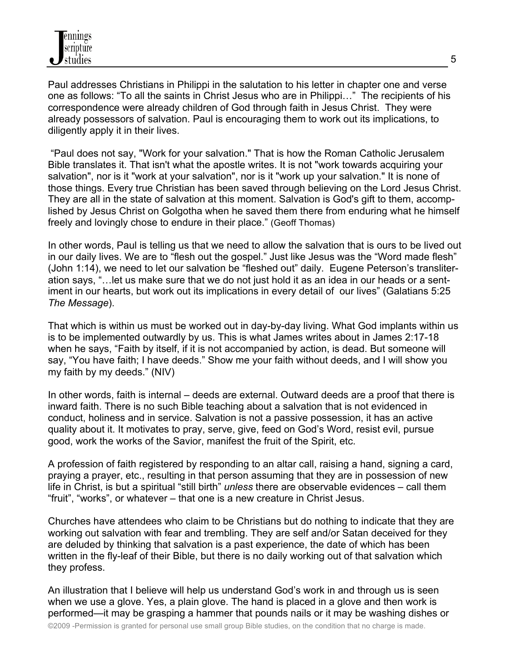Paul addresses Christians in Philippi in the salutation to his letter in chapter one and verse one as follows: "To all the saints in Christ Jesus who are in Philippi…" The recipients of his correspondence were already children of God through faith in Jesus Christ. They were already possessors of salvation. Paul is encouraging them to work out its implications, to diligently apply it in their lives.

"Paul does not say, "Work for your salvation." That is how the Roman Catholic Jerusalem Bible translates it. That isn't what the apostle writes. It is not "work towards acquiring your salvation", nor is it "work at your salvation", nor is it "work up your salvation." It is none of those things. Every true Christian has been saved through believing on the Lord Jesus Christ. They are all in the state of salvation at this moment. Salvation is God's gift to them, accomplished by Jesus Christ on Golgotha when he saved them there from enduring what he himself freely and lovingly chose to endure in their place." (Geoff Thomas)

In other words, Paul is telling us that we need to allow the salvation that is ours to be lived out in our daily lives. We are to "flesh out the gospel." Just like Jesus was the "Word made flesh" (John 1:14), we need to let our salvation be "fleshed out" daily. Eugene Peterson's transliteration says, "…let us make sure that we do not just hold it as an idea in our heads or a sentiment in our hearts, but work out its implications in every detail of our lives" (Galatians 5:25 *The Message*).

That which is within us must be worked out in day-by-day living. What God implants within us is to be implemented outwardly by us. This is what James writes about in James 2:17-18 when he says, "Faith by itself, if it is not accompanied by action, is dead. But someone will say, "You have faith; I have deeds." Show me your faith without deeds, and I will show you my faith by my deeds." (NIV)

In other words, faith is internal – deeds are external. Outward deeds are a proof that there is inward faith. There is no such Bible teaching about a salvation that is not evidenced in conduct, holiness and in service. Salvation is not a passive possession, it has an active quality about it. It motivates to pray, serve, give, feed on God's Word, resist evil, pursue good, work the works of the Savior, manifest the fruit of the Spirit, etc.

A profession of faith registered by responding to an altar call, raising a hand, signing a card, praying a prayer, etc., resulting in that person assuming that they are in possession of new life in Christ, is but a spiritual "still birth" *unless* there are observable evidences – call them "fruit", "works", or whatever – that one is a new creature in Christ Jesus.

Churches have attendees who claim to be Christians but do nothing to indicate that they are working out salvation with fear and trembling. They are self and/or Satan deceived for they are deluded by thinking that salvation is a past experience, the date of which has been written in the fly-leaf of their Bible, but there is no daily working out of that salvation which they profess.

An illustration that I believe will help us understand God's work in and through us is seen when we use a glove. Yes, a plain glove. The hand is placed in a glove and then work is performed—it may be grasping a hammer that pounds nails or it may be washing dishes or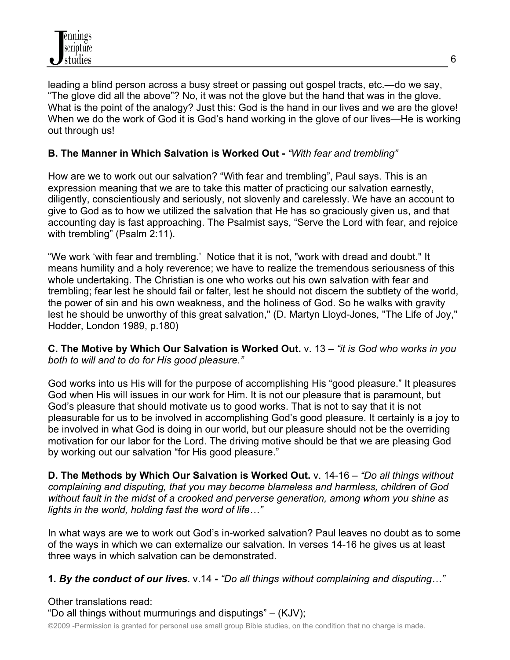leading a blind person across a busy street or passing out gospel tracts, etc.—do we say, "The glove did all the above"? No, it was not the glove but the hand that was in the glove. What is the point of the analogy? Just this: God is the hand in our lives and we are the glove! When we do the work of God it is God's hand working in the glove of our lives—He is working out through us!

## **B. The Manner in Which Salvation is Worked Out -** *"With fear and trembling"*

How are we to work out our salvation? "With fear and trembling", Paul says. This is an expression meaning that we are to take this matter of practicing our salvation earnestly, diligently, conscientiously and seriously, not slovenly and carelessly. We have an account to give to God as to how we utilized the salvation that He has so graciously given us, and that accounting day is fast approaching. The Psalmist says, "Serve the Lord with fear, and rejoice with trembling" (Psalm 2:11).

"We work 'with fear and trembling.' Notice that it is not, "work with dread and doubt." It means humility and a holy reverence; we have to realize the tremendous seriousness of this whole undertaking. The Christian is one who works out his own salvation with fear and trembling; fear lest he should fail or falter, lest he should not discern the subtlety of the world, the power of sin and his own weakness, and the holiness of God. So he walks with gravity lest he should be unworthy of this great salvation," (D. Martyn Lloyd-Jones, "The Life of Joy," Hodder, London 1989, p.180)

**C. The Motive by Which Our Salvation is Worked Out.** v. 13 – *"it is God who works in you both to will and to do for His good pleasure."*

God works into us His will for the purpose of accomplishing His "good pleasure." It pleasures God when His will issues in our work for Him. It is not our pleasure that is paramount, but God's pleasure that should motivate us to good works. That is not to say that it is not pleasurable for us to be involved in accomplishing God's good pleasure. It certainly is a joy to be involved in what God is doing in our world, but our pleasure should not be the overriding motivation for our labor for the Lord. The driving motive should be that we are pleasing God by working out our salvation "for His good pleasure."

**D. The Methods by Which Our Salvation is Worked Out.** v. 14-16 – *"Do all things without complaining and disputing, that you may become blameless and harmless, children of God without fault in the midst of a crooked and perverse generation, among whom you shine as lights in the world, holding fast the word of life…"*

In what ways are we to work out God's in-worked salvation? Paul leaves no doubt as to some of the ways in which we can externalize our salvation. In verses 14-16 he gives us at least three ways in which salvation can be demonstrated.

**1.** *By the conduct of our lives.* v.14 **-** *"Do all things without complaining and disputing…"*

Other translations read:

"Do all things without murmurings and disputings" – (KJV);

©2009 -Permission is granted for personal use small group Bible studies, on the condition that no charge is made.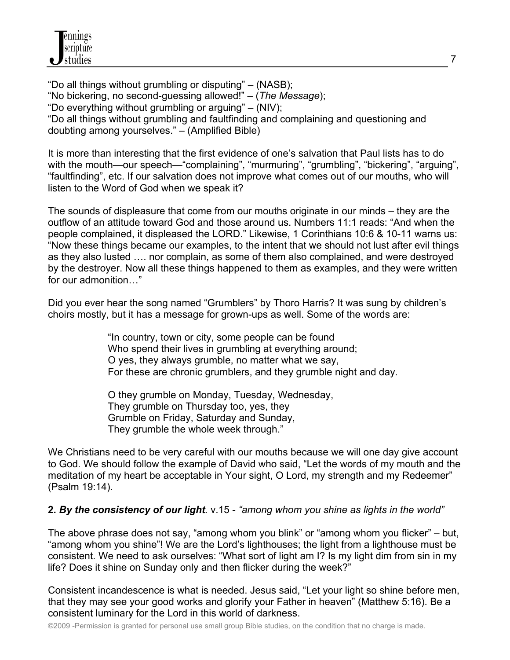"Do all things without grumbling or disputing" – (NASB); "No bickering, no second-guessing allowed!" – (*The Message*); "Do everything without grumbling or arguing" – (NIV); "Do all things without grumbling and faultfinding and complaining and questioning and doubting among yourselves." – (Amplified Bible)

It is more than interesting that the first evidence of one's salvation that Paul lists has to do with the mouth—our speech—"complaining", "murmuring", "grumbling", "bickering", "arguing", "faultfinding", etc. If our salvation does not improve what comes out of our mouths, who will listen to the Word of God when we speak it?

The sounds of displeasure that come from our mouths originate in our minds – they are the outflow of an attitude toward God and those around us. Numbers 11:1 reads: "And when the people complained, it displeased the LORD." Likewise, 1 Corinthians 10:6 & 10-11 warns us: "Now these things became our examples, to the intent that we should not lust after evil things as they also lusted …. nor complain, as some of them also complained, and were destroyed by the destroyer. Now all these things happened to them as examples, and they were written for our admonition…"

Did you ever hear the song named "Grumblers" by Thoro Harris? It was sung by children's choirs mostly, but it has a message for grown-ups as well. Some of the words are:

> "In country, town or city, some people can be found Who spend their lives in grumbling at everything around; O yes, they always grumble, no matter what we say, For these are chronic grumblers, and they grumble night and day.

O they grumble on Monday, Tuesday, Wednesday, They grumble on Thursday too, yes, they Grumble on Friday, Saturday and Sunday, They grumble the whole week through."

We Christians need to be very careful with our mouths because we will one day give account to God. We should follow the example of David who said, "Let the words of my mouth and the meditation of my heart be acceptable in Your sight, O Lord, my strength and my Redeemer" (Psalm 19:14).

## **2.** *By the consistency of our light.* v.15 - *"among whom you shine as lights in the world"*

The above phrase does not say, "among whom you blink" or "among whom you flicker" – but, "among whom you shine"! We are the Lord's lighthouses; the light from a lighthouse must be consistent. We need to ask ourselves: "What sort of light am I? Is my light dim from sin in my life? Does it shine on Sunday only and then flicker during the week?"

Consistent incandescence is what is needed. Jesus said, "Let your light so shine before men, that they may see your good works and glorify your Father in heaven" (Matthew 5:16). Be a consistent luminary for the Lord in this world of darkness.

©2009 -Permission is granted for personal use small group Bible studies, on the condition that no charge is made.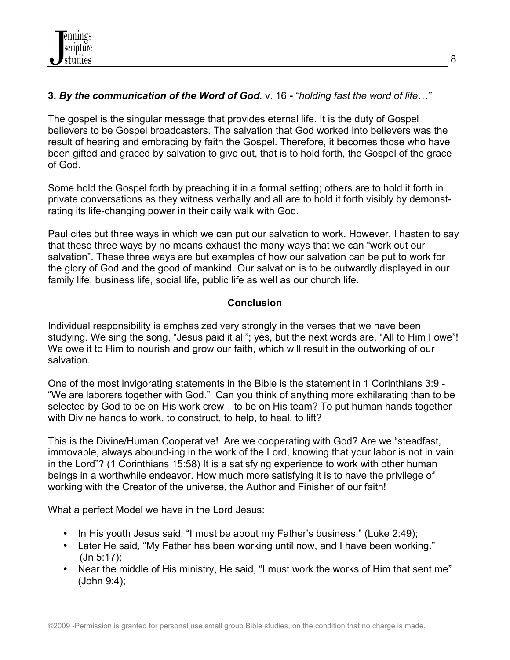# **3.** *By the communication of the Word of God*. v. 16 **-** "*holding fast the word of life…"*

The gospel is the singular message that provides eternal life. It is the duty of Gospel believers to be Gospel broadcasters. The salvation that God worked into believers was the result of hearing and embracing by faith the Gospel. Therefore, it becomes those who have been gifted and graced by salvation to give out, that is to hold forth, the Gospel of the grace of God.

Some hold the Gospel forth by preaching it in a formal setting; others are to hold it forth in private conversations as they witness verbally and all are to hold it forth visibly by demonstrating its life-changing power in their daily walk with God.

Paul cites but three ways in which we can put our salvation to work. However, I hasten to say that these three ways by no means exhaust the many ways that we can "work out our salvation". These three ways are but examples of how our salvation can be put to work for the glory of God and the good of mankind. Our salvation is to be outwardly displayed in our family life, business life, social life, public life as well as our church life.

## **Conclusion**

Individual responsibility is emphasized very strongly in the verses that we have been studying. We sing the song, "Jesus paid it all"; yes, but the next words are, "All to Him I owe"! We owe it to Him to nourish and grow our faith, which will result in the outworking of our salvation.

One of the most invigorating statements in the Bible is the statement in 1 Corinthians 3:9 - "We are laborers together with God." Can you think of anything more exhilarating than to be selected by God to be on His work crew—to be on His team? To put human hands together with Divine hands to work, to construct, to help, to heal, to lift?

This is the Divine/Human Cooperative! Are we cooperating with God? Are we "steadfast, immovable, always abound-ing in the work of the Lord, knowing that your labor is not in vain in the Lord"? (1 Corinthians 15:58) It is a satisfying experience to work with other human beings in a worthwhile endeavor. How much more satisfying it is to have the privilege of working with the Creator of the universe, the Author and Finisher of our faith!

What a perfect Model we have in the Lord Jesus:

- In His youth Jesus said, "I must be about my Father's business." (Luke 2:49);
- Later He said, "My Father has been working until now, and I have been working." (Jn 5:17);
- Near the middle of His ministry, He said, "I must work the works of Him that sent me" (John 9:4);